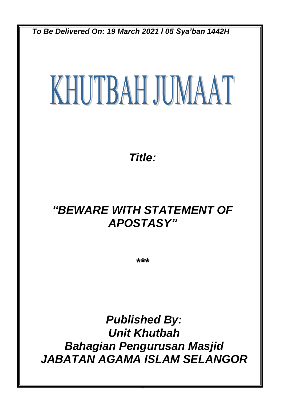*To Be Delivered On: 19 March 2021 l 05 Sya'ban 1442H*

# KHUTBAH JUMAAT

*Title:*

## *"BEWARE WITH STATEMENT OF APOSTASY"*

*\*\*\**

*Published By: Unit Khutbah Bahagian Pengurusan Masjid JABATAN AGAMA ISLAM SELANGOR*

0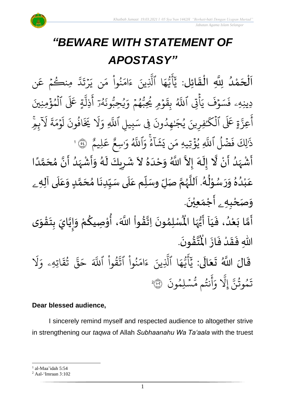

# *"BEWARE WITH STATEMENT OF APOSTASY"*

。<br>↑ اَلْحَمْدُ لِلَّهِ الْقَائِلِ: يَٰٓأَيُّهَا ٱلَّذِينَ ءَامَنُواْ مَن يَرۡتَدَّ مِنكُمۡ عَن  $\overline{\phantom{a}}$ ن<br>ا و<br>و .<br>م  $\overline{\phantom{a}}$  $\frac{1}{2}$ ֦֧֦֧֦֧֦֧֦֧֦֧֦֧֜֜֜֜֓֓<br>֧ׅׅ֝֜֜֜֜֜֜֜֜֜֜֜֜֜֝֜֜֬֟ مِنڪُمُ عَ  $\frac{1}{2}$ و بة<br>ا ێۧ  $\ddot{\mathbf{r}}$ ءَ<br>رڏ  $\ddot{\phantom{0}}$  $\tilde{\cdot}$ ن ي ِ<br>م نُوا مَ <u>ہ</u><br>ا ُو  $\frac{1}{\epsilon}$ ام  $\tilde{\epsilon}$ ء ِينَ بة<br>1 ا الَّذِ ر<br>م ه و<br>د سَ<br>ڊ ِ<br>ع  $\overline{\mathcal{L}}$ ِ<br>ِرِ ديد ةٍ عَلَى ٱلْمُؤْمِنِينَ ہ<br>ء و<br>م ہ<br>1 ب<br>1 ذِل ِ<br>ج أ ر<br>ء و<br>لمو و<br>لم  $\ddot{\cdot}$ ون و<br>س ِحب ي ُو  $\frac{1}{2}$ ء<br>پُمُ وَ  $\frac{1}{2}$ و<br>م و<br>س وُمِ يُجِبُّ و<br>م ؚ<br>ٛ  $\ddot{\phantom{0}}$ بِقَـ و<br>أ اتِي اللَّهُ ہ<br>م  $\tilde{\cdot}$ ي قَسَوْفَ<br>فَسَوْفَ دِينِهِۦ ف ر<br>1 ل  $\frac{1}{\alpha}$ ِ و بة<br>أ بِيلِ اُللَّهِ ِ<br>په ِِف س  $\ddot{\cdot}$ فِرِينَ يُجَٰهِدُونَ ُ َٰ ُو ِّ ر<br>ح ةٍ عَلَى ٱلْكَ<sup>ر</sup>ِ ہ<br>1 ذ عِزَّ ِ<br>ج أُعِزَّةٍ عَلَى الْكُنْفِرِينَ يُجَنِّهِدُونَ فِي سَبِيلِ أَللَّهِ وَلَا يَخَافُونَ لَوْمَةَ لاَبِمِ  $\tilde{\mathbf{v}}$ ل  $\ddot{\mathbf{r}}$ ة  $\frac{1}{2}$ م و  $\frac{1}{2}$ .<br>أ ل افَونَ و<br>و ر<br>مز َي و<br>م لِيم ِ<br>م ع ِ<br>ُمُ ِسع<br>سِع َٰ  $\frac{1}{\alpha}$ و و<br>أ اِللَّهُ .<br>م ءُ وَا بر<br>ء م  $\tilde{1}$ ا  $\tilde{\mathbf{r}}$ ش  $\tilde{\cdot}$ ن ي ِ<br>م َ يُؤْتِيهِ مَ ہ<br>؟ و<br>د بر<br>آ فَضَلُ ٱللَّهِ ر<br>ا .<br>إِل**ِكَ فَ** َٰ ذَٰٰٓالِكَ فَضۡلُ ٱللَّهِ يُؤۡتِيهِ مَن يَشَآءُ وَٱللَّهُ وَرَسِعٌ عَلِيمٌ ۚ إِنَّى ا ا<br>الم ំ<br>•  $\overline{\mathbf{r}}$ و<br>ا ْ ्<br>इ َ<br>م  $\frac{1}{\epsilon}$ ً<br>أ انه  $\sum_{i=1}^{n}$ و<br>ا ْ ا<br>۽ ر<br>ر َ  $\ddot{\phantom{0}}$  $\lambda$  $\frac{1}{2}$ َ المستعا

اَّ مَّسَهَدُ أَنْ لَّا إِلَهَ إِلاَّ اللَّهُ وَحْدَهُ لاَ شَرِيكَ لَهُ وَأَشْهَدُ أَنَّ مُحَمَّدًا ر<br>زن  $\frac{1}{2}$ ت<br>م  $\frac{1}{2}$ ر<br>زا  $\tilde{\cdot}$ <u>ر</u>  $\frac{1}{2}$ عَبْدُهُ وَرَسُوْلُهُ. اَللَّهُمَّ صَلِّ وسَلِّم عَلَى سَيِّدِنَا مُحَمَّدٍ وَعَلَى آلِهِ ـ  $\tilde{\mathbf{i}}$ ا<br>م ر<br>ر<br>ر ش<br>آا َ .<br>لم  $\frac{1}{\epsilon}$ ់<br>្ و<br>ر  $\ddot{\phantom{0}}$  $\tilde{\cdot}$  $\frac{1}{2}$ و<br>ا ់<br>រ ً<br>م  $\overline{\mathbf{r}}$ ِ<br>م  $\tilde{\cdot}$ <u>لم</u> ر<br>م )<br>ጎ  $\ddot{\phantom{0}}$  $\frac{1}{1}$  $\overline{\mathbf{1}}$ ِ<br>م و*َص<sub>َ</sub>حْبِهِ <sub>ۦ</sub>* أَجْمَعِيْنَ. ْ  $\ddot{\phantom{0}}$ ់<br>(  $\tilde{\mathbf{A}}$  $\ddot{\mathbf{z}}$  $\ddot{\cdot}$ ِ<br>پنج ر<br>مخ **ہے**<br>∶ ֦֧֦֧֦  $\ddot{\phantom{0}}$  $\ddot{\mathbf{z}}$ 

ِ<br>أَمَّا بَعْدُ، فَيَا أَيُّهَا الْمُسْلِمُونَ اِتَّقُواْ اللَّهَ، أُوْصِيكُمْ وَإِيَّايَ بِتَقْوَى  $\frac{1}{1}$ .<br>و ំ<br>រ  $\ddot{\cdot}$ ี<br>วั  $\frac{1}{2}$ ֦֧<u>֦</u>  $\ddot{\phantom{0}}$ **ٍ**<br>-ا<br>ا  $\frac{1}{2}$  $\tilde{\cdot}$ ֦֧֦֧֦ **ٍ** ا<br>به<br>: ›<br>ለ أَيُّهَا الْمُ ِ<br>ہ ُ<br>ُمُ .  $\ddot{\phantom{0}}$ ؾڤۏڹؘ  $\frac{9}{4}$ ا<br>ایر<br>جو ہ<br>ا اللَّهِ فَقَدْ فَازَ الْمُ  $\ddot{\cdot}$  $\frac{1}{2}$ ْ  $\frac{1}{2}$  $\frac{1}{2}$ 

قَالَ اللَّهُ تَعَالَى: يَأَيُّهَا ٱلَّذِينَ ءَامَنُ ِ<br>ا َ  $\ddot{\phantom{0}}$  $\ddot{\mathbf{r}}$ ُو<br>و  $\frac{1}{2}$ ام  $\tilde{\epsilon}$ ء ِينَ بة<br>1 ا الَّذِ ِ<br>م ه و<br>د سَ<br>ڊ ۔<br>ج  $\overline{\mathcal{L}}$ ِ<br>د ي ر<br>1 ل ر<br>م اتِهِۦ و  $\ddot{\mathbf{z}}$ ق ت و<br>په ر<br>دو قی  $\tilde{\phantom{0}}$ ح ذَ قُوا اللَّهَ ْ بِ ور ر<br>بدو وا اڌ <u>ہ</u><br>ا  $\ddot{\cdot}$ سْلِمُونَ و<br>م  $\ddot{\phantom{0}}$ و<br>مم نتُم مَّ و<br>په ِ<br>ج أ  $\frac{1}{c}$ و بة<br>1 إِل ذ تَمُوثُنَّ إِلَّا وَأَنتُم مُّسۡلِمُونَ ۞ و<br>په و<br>م 2

#### **Dear blessed audience,**

I sincerely remind myself and respected audience to altogether strive in strengthening our *taqwa* of Allah *Subhaanahu Wa Ta'aala* with the truest

<sup>&</sup>lt;sup>1</sup> al-Maa'idah 5:54

<sup>2</sup> Aal-'Imraan 3:102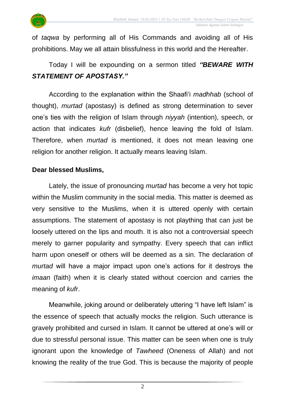

of *taqwa* by performing all of His Commands and avoiding all of His prohibitions. May we all attain blissfulness in this world and the Hereafter.

## Today I will be expounding on a sermon titled *"BEWARE WITH STATEMENT OF APOSTASY."*

According to the explanation within the Shaafi'i *madhhab* (school of thought), *murtad* (apostasy) is defined as strong determination to sever one's ties with the religion of Islam through *niyyah* (intention), speech, or action that indicates *kufr* (disbelief), hence leaving the fold of Islam. Therefore, when *murtad* is mentioned, it does not mean leaving one religion for another religion. It actually means leaving Islam.

#### **Dear blessed Muslims,**

Lately, the issue of pronouncing *murtad* has become a very hot topic within the Muslim community in the social media. This matter is deemed as very sensitive to the Muslims, when it is uttered openly with certain assumptions. The statement of apostasy is not plaything that can just be loosely uttered on the lips and mouth. It is also not a controversial speech merely to garner popularity and sympathy. Every speech that can inflict harm upon oneself or others will be deemed as a sin. The declaration of *murtad* will have a major impact upon one's actions for it destroys the *imaan* (faith) when it is clearly stated without coercion and carries the meaning of *kufr*.

Meanwhile, joking around or deliberately uttering "I have left Islam" is the essence of speech that actually mocks the religion. Such utterance is gravely prohibited and cursed in Islam. It cannot be uttered at one's will or due to stressful personal issue. This matter can be seen when one is truly ignorant upon the knowledge of *Tawheed* (Oneness of Allah) and not knowing the reality of the true God. This is because the majority of people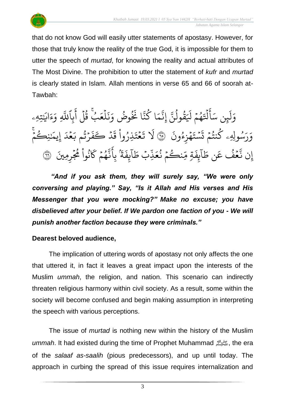

that do not know God will easily utter statements of apostasy. However, for those that truly know the reality of the true God, it is impossible for them to utter the speech of *murtad*, for knowing the reality and actual attributes of The Most Divine. The prohibition to utter the statement of *kufr* and *murtad* is clearly stated in Islam. Allah mentions in verse 65 and 66 of soorah at-Tawbah:

تِهِۦ َٰ ِ اي ्<br>द ء ِ<br>ہ ِ و بة<br>أ بِاللَّهِ ِ<br>ج أ ہ<br>آ بُ قُلَ و<br>په ُۚ .<br>و  $\frac{1}{2}$ ع ل ہ<br>1  $\ddot{\cdot}$ بر<br>د ِ<br>ہ و وض ُ و<br>د  $\ddot{\cdot}$ ا َن بة<br>ج ن ا ك و<br>م ِ م ب<br>في ِن إ ذ ٟۦٞڨٞۅڶۘ۠ڹَّ  $\frac{1}{\sqrt{2}}$ و<br>په  $\tilde{1}$ مُمْ لَيَـ  $\frac{1}{2}$ و<br>پر  $\ddot{\phantom{0}}$ ہ<br>1 ایتا<br>ا ِ<br>ج  $\overline{\mathcal{L}}$ ِ<br>م ين سَـ .<br>آ ل  $\frac{1}{c}$ و  $\ddot{\phantom{0}}$ ت  $\frac{1}{2}$ سُولِهِۦ كَنتُمۡ ُو<br>په و<br>م ُو ِ<br>پ ۔<br>ر ِ<br>م و  $\ddot{\cdot}$ ۿؘزِءُونَ و<br>و ة<br>م  $\ddot{\phantom{0}}$ نَسْتَهْزِءُونَ ۞ لا تَعْتَذِرُوا قَدْ كَفَرْتُم بَعْدَ إِيمَنِكُمْ  $\ddot{\phantom{0}}$ こっ ر َٰ ر<br>. ِيم إ ِ<br>ا مُدَ  $\frac{1}{2}$ ِ<br>د رْثُم بَ و<br>په ؚ<br>ۣ  $\ddot{\cdot}$ ف كَ د  $\overline{a}$  $\ddot{\cdot}$ <u>ن</u>گروا قَ ْ ُو  $\ddot{\cdot}$ ت ع  $\frac{1}{2}$  $\ddot{\phantom{0}}$ نَّ<br>ت ر<br>1 ل ِمنيَ ِ ر و<br>مرم نُوا مُجَّ **ٔ** ُو<br>په ر<br>م ئچم کا  $\frac{1}{2}$ و<br>م ب<br>به ن ِ<br>ج ن<sup>م</sup>َ بِأَ<br>نَ<sup>أ</sup>  $\ddot{\cdot}$ بِفَ<br>غِ  $\tilde{1}$ ا  $\frac{1}{2}$ ِّنِّ طَ ذُ  $\frac{1}{2}$ نڪُمُ نُعَ ُ  $\frac{1}{2}$ ر ں<br>م تم مِّ  $\ddot{\cdot}$ بِفَ<br>غِ  $\tilde{1}$ ا  $\frac{1}{2}$ ن ط ِ<br>م مُمْک عَ ُو<br>و  $\frac{1}{2}$ بة<br>بد إِن نَّعۡفُ عَن طَابِفَةٍ مِّنكُمۡ نُعَذِّبۡ طَابِفَةَ بِانَّهُمۡ كَانُوا مُجۡرِمِينَ ۞

*"And if you ask them, they will surely say, "We were only conversing and playing." Say, "Is it Allah and His verses and His Messenger that you were mocking?" Make no excuse; you have disbelieved after your belief. If We pardon one faction of you - We will punish another faction because they were criminals."*

#### **Dearest beloved audience,**

The implication of uttering words of apostasy not only affects the one that uttered it, in fact it leaves a great impact upon the interests of the Muslim *ummah*, the religion, and nation. This scenario can indirectly threaten religious harmony within civil society. As a result, some within the society will become confused and begin making assumption in interpreting the speech with various perceptions.

The issue of *murtad* is nothing new within the history of the Muslim *ummah*. It had existed during the time of Prophet Muhammad صلى الله عليه وسلم, the era of the *salaaf as-saalih* (pious predecessors), and up until today. The approach in curbing the spread of this issue requires internalization and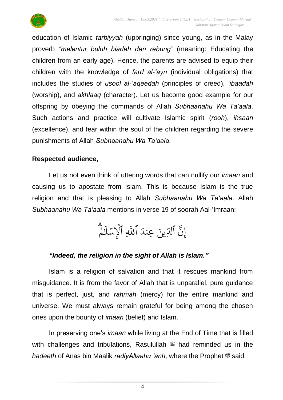

education of Islamic *tarbiyyah* (upbringing) since young, as in the Malay proverb *"melentur buluh biarlah dari rebung"* (meaning: Educating the children from an early age). Hence, the parents are advised to equip their children with the knowledge of *fard al-'ayn* (individual obligations) that includes the studies of *usool al-'aqeedah* (principles of creed), *'ibaadah* (worship), and *akhlaaq* (character). Let us become good example for our offspring by obeying the commands of Allah *Subhaanahu Wa Ta'aala*. Such actions and practice will cultivate Islamic spirit (*rooh*), *ihsaan* (excellence), and fear within the soul of the children regarding the severe punishments of Allah *Subhaanahu Wa Ta'aala*.

#### **Respected audience,**

Let us not even think of uttering words that can nullify our *imaan* and causing us to apostate from Islam. This is because Islam is the true religion and that is pleasing to Allah *Subhaanahu Wa Ta'aala*. Allah *Subhaanahu Wa Ta'aala* mentions in verse 19 of soorah Aal-'Imraan:

> قا<br>م و<br>م َٰ ِ<br>آ الإِسْلَا  $\ddot{\phantom{0}}$ ہ<br>1 بة<br>ا اللَّهِ ِ<br>ا ِّينَ عِندَ الدِّ بة<br>ج إِن

### *"Indeed, the religion in the sight of Allah is Islam."*

Islam is a religion of salvation and that it rescues mankind from misguidance. It is from the favor of Allah that is unparallel, pure guidance that is perfect, just, and *rahmah* (mercy) for the entire mankind and universe. We must always remain grateful for being among the chosen ones upon the bounty of *imaan* (belief) and Islam.

In preserving one's *imaan* while living at the End of Time that is filled with challenges and tribulations, Rasulullah  $\frac{400}{30}$  had reminded us in the *hadeeth* of Anas bin Maalik *radiyAllaahu 'anh*, where the Prophet  $\ddot{\mathcal{F}}$  said: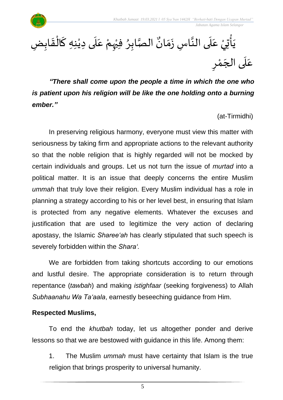

الصَّابِرُ فِيُهِمْ عَلَى دِيْنِهِ كَالْقَابِضِ  $\frac{1}{2}$ ֦֧֦֧֦֦֧֝<u>֦</u> ์<br>-<br>-ٝ<br>ؙ  $\mathbf{r}$ ِ<br>م ៝<br>៝ ْ ،<br>∙ ا<br>تە و<br>م• <sub>ِ</sub><br>يَأْتِيْ عَلَى النَّاسِ زَمَانٌ  $\frac{1}{2}$  $\ddot{\phantom{0}}$ اتا<br>ج  $\frac{1}{1}$ .<br>م ۛ<br>؞  $\ddot{\phantom{0}}$ رِ عَلَى الجَمْرِ ْ<br>م ์ $\overline{\phantom{a}}$  $\overline{\phantom{a}}$ 

*"There shall come upon the people a time in which the one who is patient upon his religion will be like the one holding onto a burning ember."*

(at-Tirmidhi)

.<br>م

In preserving religious harmony, everyone must view this matter with seriousness by taking firm and appropriate actions to the relevant authority so that the noble religion that is highly regarded will not be mocked by certain individuals and groups. Let us not turn the issue of *murtad* into a political matter. It is an issue that deeply concerns the entire Muslim *ummah* that truly love their religion. Every Muslim individual has a role in planning a strategy according to his or her level best, in ensuring that Islam is protected from any negative elements. Whatever the excuses and justification that are used to legitimize the very action of declaring apostasy, the Islamic *Sharee'ah* has clearly stipulated that such speech is severely forbidden within the *Shara'.*

We are forbidden from taking shortcuts according to our emotions and lustful desire. The appropriate consideration is to return through repentance (*tawbah*) and making *istighfaar* (seeking forgiveness) to Allah *Subhaanahu Wa Ta'aala*, earnestly beseeching guidance from Him.

#### **Respected Muslims,**

To end the *khutbah* today, let us altogether ponder and derive lessons so that we are bestowed with guidance in this life. Among them:

1. The Muslim *ummah* must have certainty that Islam is the true religion that brings prosperity to universal humanity.

5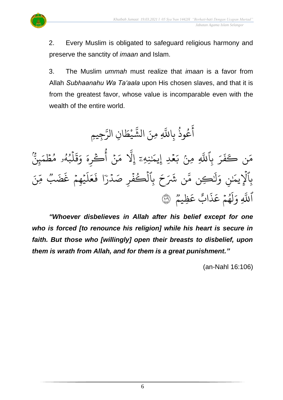

2. Every Muslim is obligated to safeguard religious harmony and

preserve the sanctity of *imaan* and Islam.

3. The Muslim *ummah* must realize that *imaan* is a favor from Allah *Subhaanahu Wa Ta'aala* upon His chosen slaves, and that it is from the greatest favor, whose value is incomparable even with the wealth of the entire world.

ِجي ن<br>مت ِن الر ا  $\frac{1}{2}$ يْط ْ ر<br>ش الش ِ ِمنَ ذ عُوذُ بِاللَّهِ ر<br>په و<br>م ِ<br>ج أَعُوذُ بِاللَّهِ مِنَ الشَّيْطَانِ الرَّجِيمِ وم<br>و پر<br>بین  $\frac{1}{2}$ لمُبُهُو مُطَمَ  $\frac{1}{2}$ و<br>م و<br>لم و<br>' ہ<br>1  $\ddot{\mathbf{r}}$ نَة<br>ف  $\frac{1}{\alpha}$ و  $\frac{1}{2}$ نۡ أُكۡوِهَ و<br>م أ ؚ<br>ٛ  $\frac{1}{2}$ ر<br>م ب<br>ا نِهِۦؔ ٳۣڵؖ<mark>ٚ</mark>ٚ إ َٰ  $\overline{\phantom{a}}$ مُحدِ إِيمَ<sup>ا</sup>  $\frac{1}{2}$ مِنْ بَ بر<br>آ بِاللَّهِ ِ<br>ب ر  $\ddot{\cdot}$ ف <sup>ن</sup> كَ َ ر<br>م ِ ء<br>م وو ئ<br>غَضَب يُهِمْ غُ  $\frac{1}{2}$ ؚ<br>ۣ ر<br>آ  $\mu$  $\frac{1}{2}$ ع  $\ddot{\cdot}$ ا ف ٗ بِٱلۡكَٰفۡرِ صَدۡرَ ہ<br>ا  $\ddot{\cdot}$ ر ہ<br>ا  $\tilde{}$ ح ِ<br>مِّن شَرَ ڪِن مُّ َٰ ِ<br>آ ل  $\frac{1}{c}$ و ِ َٰن َ بِالإِيمَـٰ ہ<br>1 وو<br>م ِظيم ِ<br>م ع ٌ اب  $\ddot{\cdot}$ ذ ِ<br>م هُمۡ عَـ  $\frac{1}{2}$ و<br>م ر<br>م أ ل ٱللَّهِ وَلَهُمْ عَذَابٌ عَظِيمٌ ۞

*"Whoever disbelieves in Allah after his belief except for one who is forced [to renounce his religion] while his heart is secure in faith. But those who [willingly] open their breasts to disbelief, upon them is wrath from Allah, and for them is a great punishment."*

(an-Nahl 16:106)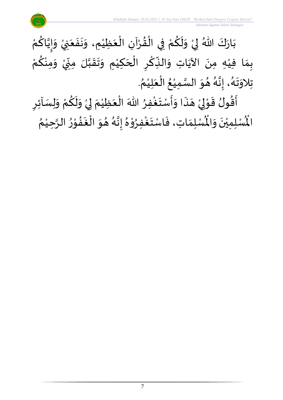

ر<br>د بَارَكَ اللّهُ لِيْ وَلَكُمْ فِي الْقُرْآنِ الْعَظِيْمِ، وَنَفَعَنِيْ وَإِيَّاكُمْ  $\frac{1}{2}$  $\ddot{\phantom{0}}$ ْ َ  $\ddot{\cdot}$  $\ddot{\phantom{0}}$  $\tilde{\cdot}$ ْ َ ֦֧֦֧֦֧֦֧֦֧֦֧֦֧֦֧֜֜֜֓֓<br>֧ׅ֦֛ׅ֝֜֜֜֜֜֜֜֜֜֜֜֜֜֜֜֜֜֜֬֟ ْ  $\frac{9}{4}$ ֦֧֦֧֦֧֦֧֦֧֦֧֦֧֦֧֜֜֜֓֓<br>**֡** ْ <u>ہ</u>  $\tilde{\mathbf{r}}$  $\frac{1}{2}$ ْ لمحلح و<br>ا ِ په ن<br>•  $\sum_{i=1}^n$  $\tilde{\cdot}$ ْ بِمَا فِيْهِ مِنَ الآيَاتِ وَالنِّكْرِ الْحَكِيْمِ وَتَقَبَّلَ مِنِّيْ وَمِنْكُمْ ِ<br>م ْ  $\tilde{\cdot}$ **ٔ** -<br>-<br>- $\sum$ ن<br>ا  $\frac{1}{2}$  $\frac{1}{2}$  $\tilde{\cdot}$ ំ<br>រ  $\overline{\phantom{a}}$ ֦֝֟֘֝֝֝<br>֧֝֜֝֜֝֜֝֜**֟** <u>ر</u> ؚ<br>م  $\frac{1}{2}$ ์ $\frac{1}{2}$ ِ<br>پُ  $\ddot{\phantom{0}}$ ំ<br>រ  $\frac{1}{2}$ . ़<br>१ تِلاوَتَهُ، إِنَّهُ هُوَ السَّمِيْعُ الْعَلِيْمُ ْ  $\frac{1}{2}$ ْ ُ ْ ا<br>ما  $\frac{1}{2}$  $\frac{1}{2}$ و<br>گ لة<br>•  $\frac{1}{2}$ ्<br>१  $\ddot{\ }$  $\frac{1}{2}$ ارا<br>ج ्<br>नि

 $\frac{1}{2}$ اًقُولُ قَوْلِيْ هَذَا وَأَسْتَغْفِرُ اللّٰهَ الْعَظِيْمَ لِيْ وَلَكُمْ وَلِسَاْئِرِ ֦֧֦֦֧֝<u>֦</u> ُْ  $\ddot{\ }$  $\frac{1}{2}$  $\ddot{\cdot}$  $\overline{\phantom{a}}$ ំ<br>, لمح י<br>י  $\frac{1}{2}$ ر<br>ژ <u>ر</u>  $\tilde{\cdot}$ ْ <u>و</u>  $\tilde{\mathbf{r}}$  $\tilde{\cdot}$ ْ إ  $\ddot{\phantom{0}}$ ْ ፟<br>፞ رِبِ<br>لَمُسْلِمَاتِ، فَاسْتَغْفِرُوْهُ إِنَّهُ هُوَ الْغَفُوْرُ الرَّحِيْمُ ْ ان<br>م  $\frac{1}{2}$ י<br>י  $\frac{1}{2}$  $\ddot{\phantom{0}}$ ر<br>ف  $\frac{1}{2}$  $\frac{1}{2}$ و<br>گ ن<br>•<br>• ।<br>-<br>- $\frac{1}{2}$ ֦֧֦ **ہ**<br>د ِ<br>وف  $\ddot{\phantom{0}}$  $\frac{1}{2}$  $\frac{1}{2}$ ر۔<br>لْمُسْلِمِيْنَ وَالْمُ  $\frac{1}{2}$  $\ddot{\phantom{0}}$ ់<br>( الْم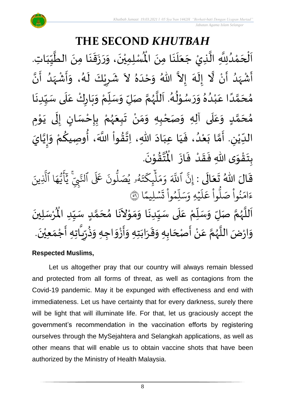#### **THE SECOND** *KHUTBAH* ر مسلمان مسلمان مسلمان الطَّيِّبَاتِ<br>لِمُسْلِمِيْنَ، وَرَزَقَنَا مِنَ الطَّيِّبَاتِ  $\frac{1}{1}$  $\frac{1}{2}$  $\frac{1}{2}$ ان<br>ا  $\ddot{\phantom{0}}$ ्<br>;  $\frac{1}{2}$  $\ddot{\cdot}$  $\frac{1}{2}$  $\frac{1}{2}$  $\ddot{\phantom{0}}$ ّٰ اَلْحَمْدُلِلَّهِ الَّذِيْ جَعَلَنَا مِنَ الْمُسْلِمِيْنَ، وَرَزَقَنَا مِنَ الطَّيِّبَاتِ.  $\ddot{\phantom{0}}$  $\ddot{\phantom{0}}$ َ<br>الم َ  $\overline{\phantom{a}}$ ا<br>ا اتا<br>ا و<br>ا ំ<br>ត  $\overline{\phantom{a}}$ ْ  $\overline{\phantom{a}}$ ْ أَشْهَدُ أَنْ لَّا إِلَهَ إِلاَّ اللّهُ وَحْدَهُ لاَ شَرِيْكَ لَهُ، وَأَشْهَدُ أَنَّ ر<br>پنج و<br>ا ر<br>زار ْ ِ<br>پ ا<br>ا ै<br>जन्म تا<br>ج ر<br>آم  $\tilde{\cdot}$  $\frac{1}{2}$  $\tilde{\phantom{0}}$  $\frac{1}{2}$ ِ<br>ا  $\tilde{\cdot}$ ا<br>به<br>• -<br>:<br>: بر<br>د  $\frac{1}{2}$ ْ  $\frac{1}{2}$  $\tilde{\cdot}$ ر<br>گ  $\tilde{\mathbf{r}}$ ْ <u>ر</u>  $\frac{1}{2}$ مُحَمَّدًا عَبْدُهُ وَرَسُوْلُهُ. اَللَّهُمَّ صَلِّ وَسَلِّمْ وَبَارِكْ عَلَى سَبِّدِنَا  $\ddot{\phantom{0}}$  $\frac{1}{1}$  $\frac{1}{2}$ `<br>أ  $\frac{1}{2}$ ر<br>و  $\ddot{\phantom{0}}$  $\frac{1}{2}$ ْ ์<br>ข  $\overline{r}$  $\tilde{\cdot}$ ن<br>م ر<br>ر<br>ر ا<br>آ  $\overline{\phantom{a}}$ و<br>گ  $\frac{1}{2}$ י<br>י و<br>م  $\frac{1}{2}$  $\frac{1}{2}$  $\frac{1}{2}$ و<br>و ْ .<br>م ً<br>أ ت<br>م  $\overline{\phantom{a}}$ ر<br>م مُحَمَّدٍ وَعَلَى آلِهِ وَصَحْبِهِ وَمَنْ تَبِعَهُمْ بِإِحْسَانٍ إِلَى يَوْمِ <u>ل</u>ے ت<br>م  $\overline{\phantom{a}}$ و<br>م  $\overline{\mathbf{r}}$ ً<br>م  $\tilde{\cdot}$ י<br>י ا<br>با<br>•  $\ddot{\phantom{0}}$ ل  $\frac{1}{2}$ )<br>=<br>= ֦֧֦֧֦֧<u>֦</u> <u>ر</u><br>-ْ و<br>ر<br>ر  $\frac{1}{2}$  $\frac{1}{2}$ ْ  $\frac{1}{2}$ ์ $\tilde{\cdot}$ ֦֧<u>֚</u> الدِّيْنِ. أَمَّا بَعْدُ، فَيَا عِبَادَ اللّهِ، اِتَّقُواْ اللَّهَ، أُوصِيكُمْ وَإِيَّايَ ن<br>•<br>•  $\frac{1}{2}$  $\frac{1}{2}$ .<br>م <u>ل</u> ُ<br>پیدائش<br>نیا ٔ<br>ا ′<br>مو ن<br>\*  $\sim$  $\frac{1}{1}$ َ  $\frac{1}{2}$ ٍ<br>'' ْ  $\ddot{\ }$ ت<br>م  $\frac{1}{2}$ ِ<br>لیا ّٰ<br>ٌ  $\frac{1}{\sqrt{2}}$ .  $\ddot{\phantom{0}}$ تقوْنَ ֦֧֝֝֝<br>**֧**  $\frac{9}{4}$ ا<br>استقطا<br>جوا ُ<br>مو بِتَقْوَى اللّهِ فَقَدْ فَازَ الْمُ  $\ddot{\cdot}$  $\frac{1}{2}$ ْ  $\frac{1}{2}$  $\frac{1}{2}$  $\frac{1}{2}$ ْ  $\ddot{\ }$ <u>ر</u> رَ<br>قَالَ اللّهُ تَعَالَى : إِنَّ ٱللَّهَ وَمَلِّبِكَتَهُو يُصَلُّونَ  $\ddot{\phantom{0}}$  $\frac{1}{2}$  $\frac{1}{2}$ نہ<br>پیدا ون و<br>ا و<br>٩و يُصَلُّ و<br>د و<br>لم  $\ddot{\phantom{0}}$ ت ر<br>م چکے<br>غ ِ<br>آ  $\mu$  $\frac{1}{2}$ بر<br>م  $\frac{1}{c}$ و ذَ اللَّهَ ذ نَّ ٱللَّهَ وَمَلْمٍكَتَهُو يُصَلُّونَ عَلَى ٱلنَّبِيَّ يَأْيُّهَا ٱلَّذِينَ إ بة<br>1 ا الَّذِ ِ<br>م ه و<br>د سَ<br>ڊ ِ<br>ج  $\overline{\mathcal{L}}$ ِ<br>د يج<br>تنمي في<br>أ عَلَى ٱلنَّ ا  $\frac{2}{1}$ .<br>سليمًا  $\ddot{\phantom{0}}$  $\frac{1}{2}$ ت ْ وا ِم و ں<br>آ ل ِ بر<br>سد  $\frac{1}{c}$ يُّهِ وَ, ؚ<br>د .<br>آ  $\uplambda$ ِ<br>م ع وا ْ و<br>ا بُواْ صَلَّ ْ ُو<br>و  $\frac{1}{2}$ ءَامَنُواْ صَلُّواْ عَلَيْهِ وَسَلِّمُواْ تَسۡلِيمًا ۞  $\overline{\phantom{a}}$ ِ<br>اَللَّهُمَّ صَلِّ وَسَلِّمْ عَلَى سَيِّدِنَا وَمَوْلاَنَا مُحَمَّدٍ سَيِّدِ الْمُرْسَلِينَ ۔<br>آ .<br>م ْ ٠<br>ا  $\frac{1}{2}$  $\frac{1}{2}$ ا<br>م و<br>ر ا<br>آ <u>لما</u> ت<br>م  $\overline{\phantom{a}}$  $\frac{1}{2}$  $\mathbf{r}$  $\tilde{\phantom{a}}$ י<br>י  $\frac{1}{2}$  $\tilde{\cdot}$ ..<br>-<br>•  $\frac{1}{\sqrt{2}}$  $\ddot{\phantom{0}}$ ُْ سَيِّدِ الْمُ  $\frac{1}{1}$  $\frac{1}{2}$  $\frac{1}{2}$ وَارْضَ اللَّهُمَّ عَنْ أَصْحَابِهِ وَقَرَابَتِهِ وَأَزْوَاجِهِ وَذُرِّيَّاتِهِ أَجْمَعِيْنَ.  $\frac{1}{2}$ ֧֦֧֦֧֦֧֘֒<u>֦</u> ا<br>ج  $\frac{1}{2}$  $\frac{1}{2}$  $\frac{1}{2}$ م<br>م  $\overline{\phantom{a}}$ ا<br>با ֦֧֦֚֝<br>֧֧<u>֓</u>  $\frac{1}{2}$ ا<br>مح و<br>ر ا<br>آ  $\frac{1}{2}$  $\ddot{\phantom{0}}$ ْ  $\frac{1}{2}$ َ .<br>تا  $\frac{1}{2}$ ر ≈<br>ڊ•

#### **Respected Muslims,**

Let us altogether pray that our country will always remain blessed and protected from all forms of threat, as well as contagions from the Covid-19 pandemic. May it be expunged with effectiveness and end with immediateness. Let us have certainty that for every darkness, surely there will be light that will illuminate life. For that, let us graciously accept the government's recommendation in the vaccination efforts by registering ourselves through the MySejahtera and Selangkah applications, as well as other means that will enable us to obtain vaccine shots that have been authorized by the Ministry of Health Malaysia.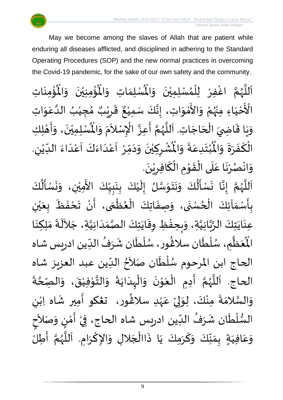

May we become among the slaves of Allah that are patient while enduring all diseases afflicted, and disciplined in adhering to the Standard Operating Procedures (SOP) and the new normal practices in overcoming the Covid-19 pandemic, for the sake of our own safety and the community.

់<br>: ره<br>ق ُْ ِ<br>لْمُسْلِمَاتِ وَالْمُ  $\frac{1}{2}$  $\frac{1}{2}$ ِ<br>اَللَّهُمَّ اغْفِرْ لِلْمُسْلِمِيْنَ وَالْمُسْلِمَاتِ وَالْمُؤْمِنِيْنَ وَالْمُؤْمِنَاتِ  $\frac{1}{2}$  $\ddot{\phantom{0}}$ ់<br>រ ُ<br>አ ֦֧֦֧֦ ِ<br>و انا<br>م ر<br>ر ا<br>آ ً<br>أ  $\ddot{\phantom{0}}$ ់<br>:  $\mathbf{r}^{\circ}$ ِمِنِيْنَ وَالْمُ  $\frac{1}{2}$  $\ddot{\phantom{0}}$ ْ <sup>ن</sup>َحْيَاءِ َ ֦֧֦֧֦֧<u>֦</u> َ ْ الْأَحْيَاءِ مِنْهُمْ وَالأَمْوَاتِ، إِنَّكَ سَمِيْعٌ قَرِيْبٌ مُجِيْبُ الدَّعَوَاتِ ْ ِ<br>رو ْ  $\frac{1}{2}$ ْ<br>م ں<br>ج  $\frac{1}{2}$ ِ<br>م ان<br>ا ُ ٝ<br>ْ ๋<br>ጎ ه<br>فيا ي ر ق <u>ر</u>  $\ddot{\ddot{\mathbf{r}}}$  $\frac{1}{2}$ ، إِنَّكَ سَمِيْعٌ ْ ل<br>•<br>• ।<br>∶ ا ِت. اجَ ح ال ِ ي اض ا ق ي ِك َ و ِل ه أ ، و ن ِ ِمي ل سْ ُْ  $\overline{\phantom{a}}$ ֦֧֦֧֦֧֦֧֦֧֦֧֦֧֦֟֓<br>֧ׅ֝֜֜֜֜֜֜֜֜֜֜֜֜֜֜֜֜֬֟֓  $\overline{a}$ ֝֟<br>֧֦֦֦֝֝֝֝֝֝֝֝֝֝֝֝֝֝֝֝֝֝<br>֧֝֝֝֝**֟**  $\frac{1}{2}$ י<br>**י**  $\ddot{\cdot}$  $\tilde{\cdot}$  $\ddot{\phantom{0}}$ ْ اَللَّهُمَّ أَعِزَّ الْإِسْلاَمَ وَالْمُ  $\tilde{\cdot}$ بر<br>م  $\tilde{\zeta}$ ا<br>م بة  $\frac{1}{2}$ ن<br>م ر<br>ر<br>ر ا<br>ا ر<br>آ ر<br>م ้<br>ว ُشْرِكِيْنَ وَدَمِّ  $\sim$  $\tilde{\phantom{a}}$  $\ddot{\phantom{0}}$ ْ <u>ر</u> ْ  $\frac{1}{\sqrt{2}}$ ُبْتَدِعَةً وَالْمُ  $\frac{1}{2}$  $\frac{1}{2}$ .<br>م  $\ddot{\ }$ ْ  $\ddot{\bm{r}}$ الْكَفَرَةَ وَالْمُبْتَدِعَةَ وَالْمُشْرِكِيْنَ وَدَمِّرْ أَعْدَاءَكَ أَعْدَاءَ الدِّيْنِ. ์ $\frac{1}{2}$  $\ddot{\phantom{0}}$  $\frac{1}{2}$  $\ddot{\cdot}$ ์<br>-<br>-بــ<br>1 ِ ْ  $\frac{1}{1}$  $\frac{1}{2}$ ا<br>ا ۔<br>م ۔<br>آ َ<br>و  $\frac{1}{2}$ ا<br>-<br>ا ِ<br>م ۔<br>آ ا<br>ام .  $\ddot{\phantom{0}}$ وَانْصُرْنَا عَلَى الْقَوْمِ الْكَافِرِيْنَ ْ ِ ์<br><del>๎</del> `<br>ا ।<br>∕ י<br>י  $\frac{1}{2}$ ْ<br>ا َ .<br>م  $\ddot{\phantom{0}}$ ْ و<br>د ់<br>•  $\frac{1}{2}$  $\frac{1}{2}$ َ<br>ج  $\frac{1}{2}$ 

ِ<br>اَللَّهُمَّ إِنَّا نَسْأَلُكَ وَنَتَوَسَّلُ إِلَيْكَ بِنَبِيِّكَ الأَمِيْنِ، وَنَسْأَلُكَ ر<br>پا  $\ddot{\phantom{0}}$  $\tilde{\cdot}$ ْ  $\frac{1}{1}$  $\frac{1}{2}$  $\frac{1}{2}$  $\ddot{\phantom{0}}$ <u>ر</u><br>: ْ  $\tilde{\mathbf{r}}$  $\frac{1}{2}$ ا<br>ما  $\frac{1}{2}$  $\ddot{\phantom{0}}$  $\ddot{\phantom{0}}$  $\frac{1}{2}$ ُم<br>ا  $\ddot{\cdot}$ انا  $\frac{1}{2}$ ن<br>م ر<br>ر<br>ر ا<br>آ ँ<br>। .<br>بِأَسْمَاَئِكَ الْحُسْنَى، وَصِفَاتِكَ الْعُظُمَى، أَنْ تَحْفَظَ بِعَيْنِ ْ ي  $\frac{1}{2}$  $\frac{1}{\sqrt{2}}$  $\ddot{\bullet}$  $\frac{1}{2}$ ْ  $\sum_{i=1}^{n}$  $\frac{1}{2}$ ֦֧֦֧֦֧֦֧֦֧֦֧֦֧֦֧֧֦֧֦֧֟֓֓֓֜֓֓<br>**֧** }<br>● ֦֧֦֧֦֧֦֧֦֧֦֜֜֜֜֜֜<br>֧ׅׅ֝֜֜֜֜֜֜֜֜֜֜֜֜֝֜֜֝֜<del>֟</del>  $\ddot{\cdot}$  $\frac{1}{2}$  $\ddot{\phantom{0}}$ ٍ<br>ٌ ֦֧֦֧֦֧֦֧֦֧֦֧֦֧֦֜֜֓֓֟֓֟֓֟֓֟֓֟֓֟֓֟֓<br>֧֝֜֜**֓**֧֓֟֟  $\frac{1}{\lambda}$  $\frac{1}{2}$ <u>ر</u> ِ<br>عِنَايَتِكَ الرَّبَّانِيَّةِ، وَبِحِفْظِ وِقَايَتِكَ الصَّمَدَانِيَّةِ، جَلاَلَةَ مَلِكِنَا  $\ddot{\phantom{0}}$  $\ddot{\phantom{0}}$  $\ddot{\cdot}$ ِ<br>ا  $\sim$ اتا<br>ا  $\frac{1}{1}$  $\frac{1}{2}$ اتا<br>مر  $\ddot{\phantom{0}}$  $\frac{1}{2}$ ֚֘֝֬֝֟<u>֚</u>  $\frac{1}{2}$  $\frac{1}{2}$ انا<br>ا ن<br>م<br>۱ انہ<br>م  $\ddot{\phantom{0}}$  $\frac{1}{2}$ ْعَظَّمِ، سُلْطَان سلَاڠُور، سُلْطَان شَرَفُ الدِّين ادريس شاه  $\frac{1}{\sqrt{2}}$ ُ  $\frac{1}{2}$ ر<br>م ់<br>( و<br>م )<br>፟ ر<br>م ر<br>أ ر<br>ر<br>ر ر<br>آباد  $\frac{1}{2}$ ر<br>هو الْم الحاج ابن المرحوم سُلْطَان صَلاَحُ الدِّين عبد العزيز شاه  $\frac{1}{2}$ ُ ।<br>र  $\ddot{ }$ ا<br>ا ر<br>م  $\frac{1}{2}$ الحاج. اَللَّهُمَّ أَدِمِ الْعَوْنَ وَالْبِدَايَةَ وَالتَّوْفِيْقَ، وَالصِّحَّةَ  $\ddot{\cdot}$  $\ddot{\phantom{0}}$ ا<br>ا י<br>ו  $\frac{1}{2}$  $\ddot{\phantom{0}}$ ֦֧֦֝<br>**֧**  $\frac{1}{2}$ ْ ।<br>∕  $\frac{1}{2}$ انا<br>م ر<br>ر ا<br>ا ،<br>آ  $\ddot{\cdot}$ ة<br>م  $\frac{1}{2}$  $\ddot{\phantom{0}}$ ْ י<br>י ا<br>الم ى<br>وَالسَّلامَةَ مِنْكَ، لِوَلِيِّ عَہْدِ سلاڠُور، تعْكو أَمِير شَاه اِبْنِ ْ ្រ َ )<br>፟<br>፟ ٝ<br>ر .<br>م  $\frac{\nu}{\nu}$ .<br>بر ل  $\frac{1}{2}$ ۠<br>ۣ  $\frac{1}{2}$  $\frac{1}{2}$ ا<br>ما  $\frac{1}{2}$ ।<br>इ السُّلْطَان شَرَفُ الدِّين ادريس شاه الحاج، فِيْ أَمْنٍ وَصَلاَحٍ ्<br>र  $\tilde{\cdot}$ )<br>=<br>= י<br>י  $\frac{1}{2}$ ْ  $\frac{1}{2}$ ُ ِرِ<br>په ।<br>€ ់<br>ព្រ ر<br>ر<br>ر وَعَافِيَةٍ بِمَنَّكَ وَكَرَمِكَ يَا ذَاالْجَلالِ وَالإِكْرَامِ. اَللَّهُمَّ أَطِلُ ا<br>:<br>: تا<br>م ે<br>કે<br>ડ سمج<br>آن َ ।<br>∕ ا<br>م  $\frac{1}{2}$  $\overline{\phantom{a}}$ ا<br>أ  $\ddot{\cdot}$  $\ddot{\phantom{0}}$ .<br>س  $\frac{1}{2}$  $\frac{1}{2}$  $\frac{1}{2}$  $\frac{1}{2}$  $\frac{1}{2}$ َ .<br>م  $\frac{1}{2}$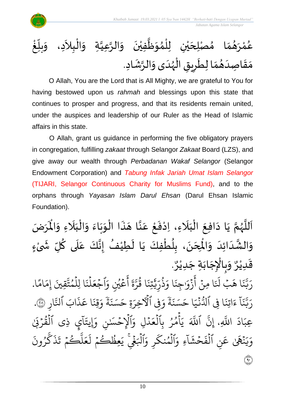

O Allah, You are the Lord that is All Mighty, we are grateful to You for having bestowed upon us *rahmah* and blessings upon this state that continues to prosper and progress, and that its residents remain united, under the auspices and leadership of our Ruler as the Head of Islamic affairs in this state.

O Allah, grant us guidance in performing the five obligatory prayers in congregation, fulfilling *zakaat* through Selangor *Zakaat* Board (LZS), and give away our wealth through *Perbadanan Wakaf Selangor* (Selangor Endowment Corporation) and *Tabung Infak Jariah Umat Islam Selangor* (TIJARI, Selangor Continuous Charity for Muslims Fund), and to the orphans through *Yayasan Islam Darul Ehsan* (Darul Ehsan Islamic Foundation).

ا<br>م اَللَّهُمَّ يَا دَافِعَ الْبَلَاءِ، اِدْفَعْ عَنَّا هَذَا الْوَبَاءَ وَالْبَلَاءِ وَالْمَرَضَ و<br>ر ا<br>آ ً<br>آ يَا دَافِعَ الْبَلَاءِ، اِدْفَعْ عَنَّا هَذَا الْوَبَاءَ وَالْبَلَاءِ وَالْمُ  $\frac{1}{2}$  $\overline{\phantom{a}}$  $\frac{1}{1}$ ْ  $\frac{1}{2}$  $\frac{1}{2}$  $\ddot{\phantom{0}}$  $\frac{1}{2}$ ֦֧֦֧֦֧֦֧֦֧֦֧֝֟֓֓֓֓֟֓֟֓֟֓֟֓֟֓֟֓֟֓֟֓֟֓֟֓֟֓֟֓֟֓֝֟֓<br>֧֝֩֩**֓**֧֓֡֟֟֓֬֩֓֕  $\ddot{\cdot}$  $\overline{\phantom{a}}$ اتا<br>ج  $\frac{1}{2}$ ֦֧֦֧<u>֦</u>  $\frac{1}{2}$ ْ  $\overline{\phantom{a}}$ َ ֦֧֦֧֦֧֦֧֦֧֦֜֜֜֜֓֓֟֓<br>֧ׅ֛֛ׅ֝֜֜֜֜֜֜֜֜֜֜֜֜֜֜֬֟  $\ddot{\phantom{0}}$  $\sim$  $\ddot{\phantom{0}}$ ِ<br>وَالشَّدَائِدَ وَالْمِحَنَ، بِلُطْفِكَ يَا لَطِيْفُ إِنَّكَ عَلَى كُلِّ شَىْءٍ **∶** ْ  $\tilde{\cdot}$ ُ َ<br>آ .<br>م اله<br>بان<br>با ।<br>-<br>-ُ  $\tilde{\mathbf{r}}$  $\ddot{\phantom{0}}$ ֦֧֦֧֦֧֦֧֦֧֦֧֦֧֦֧֦֧֦֧֦֧֦֧֟֓֓<br>**֧** ُ <u>ر</u><br>- $\ddot{\phantom{0}}$  $\overline{\phantom{a}}$ )<br>°  $\frac{1}{2}$ َ  $\overline{\phantom{a}}$ نه<br>په  $\frac{1}{2}$ . و<br>م وَبِالْإِجَابَةِ جَدِيْرٌ ٝ<br>ؙ  $\ddot{\phantom{0}}$ َ  $\overline{\phantom{a}}$ ֦֧֦֧֦֧֦֧֦֧֦֧֦֧֜֜֜֓֓֓<br>֧֝֜֜֜֜֜֜֜֜֟֓֬֓֟  $\frac{1}{2}$  $\frac{1}{2}$ و<br>م قَدِيْرٌ ٝ<br>ؙ  $\frac{1}{2}$ ا ية<br>م ام ِ<br>م تَّ<u>قِينَ</u> إِمَ ت م ا لِل و ہ<br>1  $\ddot{\cdot}$ ن ل ہ<br>1  $\frac{1}{2}$ اجُعَ  $\frac{1}{2}$ ِ<br>م عَيْنِ وَ و<br>م ر<br>م ِ<br>ج أ ្ត  $\frac{1}{2}$ ن<br>د ر ا ق ور  $\ddot{\cdot}$ تِن ي ِ ذَٰ ں<br>س ر ذ و<br>په  $\frac{1}{c}$ ا و  $\ddot{\cdot}$ ِجن َٰ  $\frac{1}{\alpha}$ زَوْر ?<br>? ِ<br>ج أ  $\ddot{\phantom{0}}$ ا ِمن ۔<br><u>آ :</u> قَبْ لَمَنَ<sup>ّ</sup> ا ه  $\ddot{\cdot}$ ن ز<br>د بة<br>ب رَبَّنَا هَبْ لَنَا مِنْ أَزْوَاجِنَا وَذُرِّيَّتِنَا قُرَّةَ أَعْيُنِ وَٱجْعَلْنَا لِلْمُتَّقِينَ إِمَامًا. ِ ار بة<br>و .<br>ناب آلتَ<sup>ّ</sup> ذ ِ<br>م ا ع  $\ddot{\cdot}$ قِن ِ<br>م و بہ<br>بہت ة  $\ddot{\cdot}$ ن سَ َ ةِ ح ِ ِفِي الْأَخِرَ  $\frac{1}{c}$ و ׇ֦֧֝<br>ׇ֧֡<del>֡</del>ׇ֧׆<del>ׇ</del> ة  $\ddot{\cdot}$ .<br>حَسَدَ ا ح  $\frac{1}{1}$ جر<br>نبي  $\ddot{\cdot}$ و<br>سا ا فِي الدَّ  $\ddot{\cdot}$ اتِن ्<br>द ء  $\tilde{1}$ ا  $\ddot{\cdot}$ ن ن<br>د بت<br>ب رَبَّنَا ءَاتِنَا فِي ٱلدُّنْيَا حَسَنَةً وَفِي ٱلْأَخِرَةِ حَسَنَةً وَقِنَا عَذَابَ ٱلنَّارِ ۞. ا  $\tilde{\cdot}$ اد  $\overline{a}$ عِبَادَ اللَّهِ بة<br>أ ׅ֖֧֝֝֝֝֝֝֝֟֟֟֟֟֟֟֟֟֟֟֟֟֟֟֟֟֟֜֟֜<u>֟</u> َّلل،  $\tilde{\mathbf{z}}$ ي ذِي القُرْبَيْ ؚ<br>ۣ ور ۔<br>ا ر<br>آ ا  $\ddot{\cdot}$ ۔<br>اَلۡاِحۡسَـٰنِ وَإِيتَـٰ  $\frac{1}{2}$ ہ<br>1  $\frac{1}{\epsilon}$ ِل و د ہ<br>ا  $\frac{1}{2}$ ع ِٱل ب ر م أ ہ<br>1 ُ و<br>م ہ<br>م  $\tilde{\cdot}$ ي ذَ اللَّهَ ذ إِن َٰ .<br>نگل  $\ddot{\cdot}$ ِ ي ِ<br>م و .<br>? ون ر ُ ر<br>م ك  $\ddot{\cdot}$ ذ  $\ddot{\mathbf{r}}$ ڪُمُ تَـُ  $\frac{1}{2}$ ر بة<br>ا  $\mu$  $\frac{1}{2}$ ع .<br>آ مِظَكُمْ ل  $\frac{1}{2}$ و ور  $\tilde{\cdot}$ ٱلۡبَغۡيِّ يَٰ ہ<br>ا َ<br>م رِ وَ ر<br>م المُنك و<br>م ہ<br>ا .<br>ء ءِ و  $\tilde{1}$ ا  $\tilde{\cdot}$ ش ح  $\frac{1}{2}$  $\ddot{\cdot}$ ف ٱل ِ ن ہ<br>1 ِ<br>م ع ٩